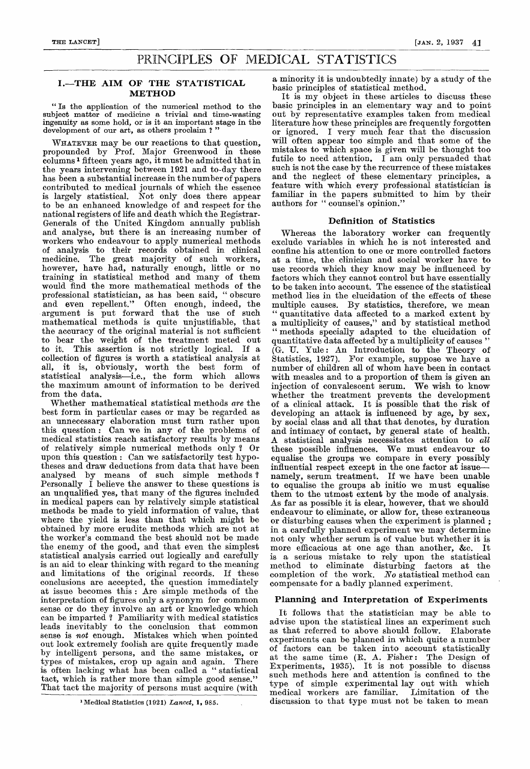## PRINCIPLES OF MEDICAL STATISTICS

## I.—THE AIM OF THE STATISTICAL **METHOD**

" Is the application of the numerical method to the subject matter of medicine a trivial and time-wasting ingenuity as some hold, or is it an important stage in the development of our art, as others proclaim ?

WHATEVER may be our reactions to that question, propounded by Prof. Major Greenwood in these columns 1 fifteen years ago, it must be admitted that in the years intervening between 1921 and to-day there has been a substantial increase in the number of papers contributed to medical journals of which the essence is largely statistical. Not only does there appear to be an enhanced knowledge of and respect for the national registers of life and death which the Registrar-Generals of the United Kingdom annually publish and analyse, but there is an increasing number of workers who endeavour to apply numerical methods of analysis to their records obtained in clinical medicine. The great majority of such workers, however, have had, naturally enough, little or no training in statistical method and many of them would find the more mathematical methods of the professional statistician, as has been said, " obscure and even repellent." Often enough, indeed, the argument is put forward that the use of such mathematical methods is quite unjustifiable, that the accuracy of the original material is not sufficient to bear the weight of the treatment meted out to it. This assertion is not strictly logical. If a collection of figures is worth a statistical analysis at all, it is, obviously, worth the best form of statistical analysis-i.e., the form which allows the maximum amount of information to be derived from the data.

Whether mathematical statistical methods are the best form in particular cases or may be regarded as an unnecessary elaboration must turn rather upon this question : Can we in any of the problems of medical statistics reach satisfactory results by means of relatively simple numerical methods only? Or upon this question : Can we satisfactorily test hypotheses and draw deductions from data that have been analysed by means of such simple methods ? Personally I believe the answer to these questions is an unqualified yes, that many of the figures included in medical papers can by relatively simple statistical methods be made to yield information of value, that where the yield is less than that which might be obtained by more erudite methods which are not at the worker's command the best should not be made the enemy of the good, and that even the simplest statistical analysis carried out logically and carefully is an aid to clear thinking with regard to the meaning and limitations of the original records. If these conclusions are accepted, the question immediately at issue becomes this : Are simple methods of the interpretation of figures only a synonym for common sense or do they involve an art or knowledge which can be imparted ? Familiarity with medical statistics leads inevitably to the conclusion that common sense is not enough. Mistakes which when pointed out look extremely foolish are quite frequently made by intelligent persons, and the same mistakes, or types of mistakes, crop up again and again. is often lacking what has been called a "statistical tact, which is rather more than simple good sense." That tact the majority of persons must acquire (with

a minority it is undoubtedly innate) by a study of the basic principles of statistical method.

It is my object in these articles to discuss these basic principles in an elementary way and to point out  $b\bar{y}$  representative examples taken from medical literature how these principles are frequently forgotten or ignored. I very much fear that the discussion will often appear too simple and that some of the mistakes to which space is given will be thought too futile to need attention. I am only persuaded that such is not the case by the recurrence of these mistakes and the neglect of these elementary principles, a feature with which every professional statistician is familiar in the papers submitted to him by their authors for " counsel's opinion."

### Definition of Statistics

Whereas the laboratory worker can frequently exclude variables in which he is not interested and confine his attention to one or more controlled factors at a time, the clinician and social worker have to use records which they know may be influenced by factors which they cannot control but have essentially to be taken into account. The essence of the statistical method lies in the elucidation of the effects of these multiple causes. By statistics, therefore, we mean multiple causes. By statistics, therefore, we mean " quantitative data affected to a marked extent by a multiplicity of causes," and by statistical method " methods specially adapted to the elucidation of quantitative data affected by a multiplicity of causes " (G. U. Yule: An Introduction to the Theory of Statistics, 1927). For example, suppose we have a number of children all of whom have been in contact with measles and to a proportion of them is given an injection of convalescent serum. We wish to know whether the treatment prevents the development of a clinical attack. It is possible that the risk of developing an attack is influenced by age, by sex, by social class and all that that denotes, by duration and intimacy of contact, by general state of health. A statistical analysis necessitates attention to all these possible influences. We must endeavour to equalise the groups we compare in every possibly influential respect except in the one factor at issuenamely, serum treatment. If we have been unable to equalise the groups ab initio we must equalise them to the utmost extent by the mode of analysis. As far as possible it is clear, however, that we should endeavour to eliminate, or allow for, these extraneous or disturbing causes when the experiment is planned ; in a carefully planned experiment we may determine not only whether serum is of value but whether it is more efficacious at one age than another, &c. It is a serious mistake to rely upon the statistical method to eliminate disturbing factors at the completion of the work. No statistical method can compensate for a badly planned experiment.

#### Planning and Interpretation of Experiments

It follows that the statistician may be able to advise upon the statistical lines an experiment such as that referred to above should follow. Elaborate experiments can be planned in which quite a number of factors can be taken into account statistically at the same time (R. A. Fisher: The Design of Experiments, 1935). It is not possible to discuss such methods here and attention is confined to the type of simple experimental lay out with which medical workers are familiar. Limitation of the discussion to that type must not be taken to mean

<sup>&</sup>lt;sup>1</sup> Medical Statistics (1921) Lancet, 1, 985.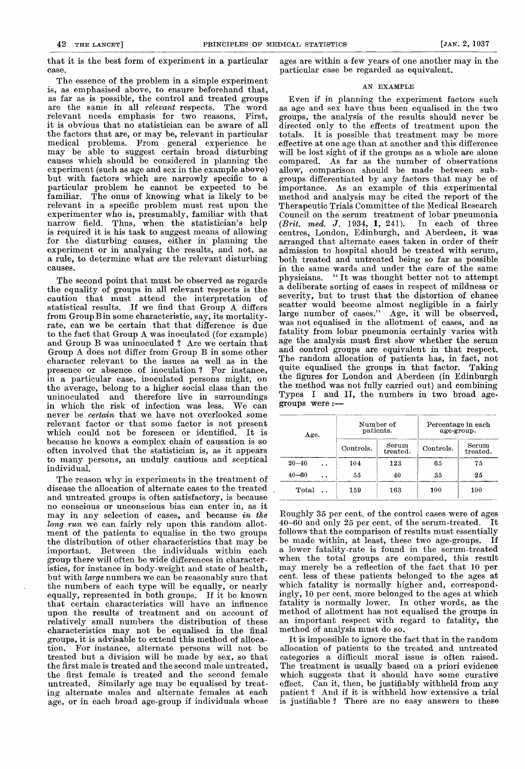that it is the best form of experiment in a particular case.

The essence of the problem in a simple experiment is, as emphasised above, to ensure beforehand that, as far as is possible, the control and treated groups are the same in all *relevant* respects. The word relevant needs emphasis for two reasons. First, it is obvious that no statistician can be aware of all the factors that are, or may be, relevant in particular medical problems. From general experience he may be able to suggest certain broad disturbing causes which should be considered in planning the experiment (such as age and sex in the example above) but with factors which are narrowly specific to a particular problem he cannot be expected to be familiar. The onus of knowing what is likely to be relevant in a specific problem must rest upon the experimenter who is, presumably, familiar with that narrow field. Thus, when the statistician's help is required it is his task to suggest means of allowing for the disturbing causes, either in planning the experiment or in analysing the results, and not, as a rule, to determine what are the relevant disturbing causes.

The second point that must be observed as regards the equality of groups in all relevant respects is the caution that must attend the interpretation of statistical results. If we find that Group A differs from Group B in some characteristic, say, its mortalityrate, can we be certain that that difference is due to the fact that Group A was inoculated (for example) and Group B was uninoculated ? Are we certain that Group A does not differ from Group B in some other character relevant to the issues as well as in the presence or absence of inoculation ? For instance, in a particular case, inoculated persons might, on the average, belong to a higher social class than the uninoculated and therefore live in surroundings in which the risk of infection was less. We can never be certain that we have not overlooked some relevant factor or that some factor is not present which could not be foreseen or identified. It is because he knows a complex chain of causation is so often involved that the statistician is, as it appears to many persons, an unduly cautious and sceptical individual.

The reason why in experiments in the treatment of disease the allocation of alternate cases to the treated and untreated groups is often satisfactory, is because no conscious or unconscious bias can enter in, as it may in any selection of cases, and because in the long run we can fairly rely upon this random allotment of the patients to equalise in the two groups the distribution of other characteristics that may be important. Between the individuals within each group there will often be wide differences in characteristics, for instance in body-weight and state of health, but with large numbers we can be reasonably sure that the numbers of each type will be equally, or nearly equally, represented in both groups. If it be known that certain characteristics will have an influence upon the results of treatment and on account of relatively small numbers the distribution of these characteristics may not be equalised in the final groups, it is advisable to extend this method of allocation. For instance, alternate persons will not be treated but a division will be made by sex, so that the first male is treated and the second male untreated, the first female is treated and the second female untreated. Similarly age may be equalised by treating alternate males and alternate females at each age, or in each broad age-group if individuals whose ages are within a few years of one another may in the particular case be regarded as equivalent.

#### AN EXAMPLE

Even if in planning the experiment factors such as age and sex have thus been equalised in the two groups, the analysis of the results should never be directed only to the effects of treatment upon the totals. It is possible that treatment may be more effective at one age than at another and this difference will be lost sight of if the groups as a whole are alone compared. As far as the number of observations allow, comparison should be made between subgroups differentiated by any factors that may be of importance. As an example of this experimental method and analysis may be cited the report of the Therapeutic Trials Committee of the Medical Research Council on the serum treatment of lobar pneumonia  $(Brit. \text{med. } J. \quad 1934, \quad 1, 241$ . In each of three centres, London, Edinburgh, and Aberdeen, it was arranged that alternate cases taken in order of their admission to hospital should be treated with serum, both treated and untreated being so far as possible in the same wards and under the care of the same physicians. " It was thought better not to attempt a deliberate sorting of cases in respect of mildness or severity, but to trust that the distortion of chance scatter would become almost negligible in a fairly large number of cases." Age, it will be observed, was not equalised in the allotment of cases, and as fatality from lobar pneumonia certainly varies with age the analysis must first show whether the serum and control groups are equivalent in that respect. The random allocation of patients has, in fact, not quite equalised the groups in that factor. Taking the figures for London and Aberdeen (in Edinburgh the method was not fully carried out) and combining Types I and II, the numbers in two broad age. groups were :-

| Age.      |                      |           | Number of<br>patients. | Percentage in each<br>age-group. |                   |  |  |  |
|-----------|----------------------|-----------|------------------------|----------------------------------|-------------------|--|--|--|
|           |                      | Controls. | Serum<br>treated.      | Controls.                        | Serum<br>treated. |  |  |  |
| $20 - 40$ | $\ddot{\phantom{a}}$ | 104       | 123                    | 65                               | 75                |  |  |  |
| $40 - 60$ | $\ddot{\phantom{a}}$ | 55        | 40                     | 35                               | 25                |  |  |  |
| Total     |                      | 159       | 163                    | 100                              | 100               |  |  |  |

Roughly 35 per cent. of the control cases were of ages<br>40–60 and only 25 per cent. of the serum-treated. It  $40-60$  and only  $25$  per cent. of the serum-treated. follows that the comparison of results must essentially be made within, at least, these two age-groups. If a lower fatality-rate is found in the serum-treated when the total groups are compared, this result may merely be a reflection of the fact that 10 per cent. less of these patients belonged to the ages at which fatality is normally higher and, correspondingly, 10 per cent. more belonged to the ages at which fatality is normally lower. In other words, as the method of allotment has not equalised the groups in an important respect with regard to fatality, the method of analysis must do so.

It is impossible to ignore the fact that in the random allocation of patients to the treated and untreated categories a difficult moral' issue is often raised. The treatment is usually based on a priori evidence which suggests that it should have some curative effect. Can it, then, be justifiably withheld from any patient ? And if it is withheld how extensive a trial is justifiable? There are no easy answers to these